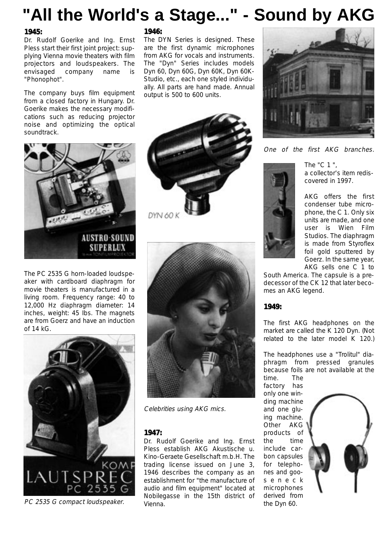## **"All the World's a Stage..." - Sound by AKG**

#### **1945:**

Dr. Rudolf Goerike and Ing. Ernst Pless start their first joint project: supplying Vienna movie theaters with film projectors and loudspeakers. The envisaged company name is "Phonophot".

The company buys film equipment from a closed factory in Hungary. Dr. Goerike makes the necessary modifications such as reducing projector noise and optimizing the optical soundtrack.

# AUSTRO-SOUN**D SUPERLUX**

The PC 2535 G horn-loaded loudspeaker with cardboard diaphragm for movie theaters is manufactured in a living room. Frequency range: 40 to 12,000 Hz diaphragm diameter: 14 inches, weight: 45 Ibs. The magnets are from Goerz and have an induction of 14 kG.



#### **1946:**

DYN 60 K

The DYN Series is designed. These are the first dynamic microphones from AKG for vocals and instruments. The "Dyn" Series includes models Dyn 60, Dyn 60G, Dyn 60K, Dyn 60K-Studio, etc., each one styled individually. All parts are hand made. Annual output is 500 to 600 units.



One of the first AKG branches.



The "C 1 ", a collector's item rediscovered in 1997.

AKG offers the first condenser tube microphone, the C 1. Only six units are made, and one user is Wien Film Studios. The diaphragm is made from Styroflex foil gold sputtered by Goerz. In the same year, AKG sells one C 1 to

South America. The capsule is a predecessor of the CK 12 that later becomes an AKG legend.

#### **1949:**

The first AKG headphones on the market are called the K 120 Dyn. (Not related to the later model K 120.)

The headphones use a "Trolitul" diaphragm from pressed granules because foils are not available at the time. The

factory has only one winding machine and one gluing machine. Other AKG products of the time include carbon capsules for telephones and gooseneck microphones derived from





Celebrities using AKG mics.

#### **1947:**

Dr. Rudolf Goerike and Ing. Ernst Pless establish AKG Akustische u. Kino-Geraete Gesellschaft m.b.H. The trading license issued on June 3, 1946 describes the company as an establishment for "the manufacture of audio and film equipment" located at Nobilegasse in the 15th district of Vienna. PC 2535 G compact loudspeaker. vienna.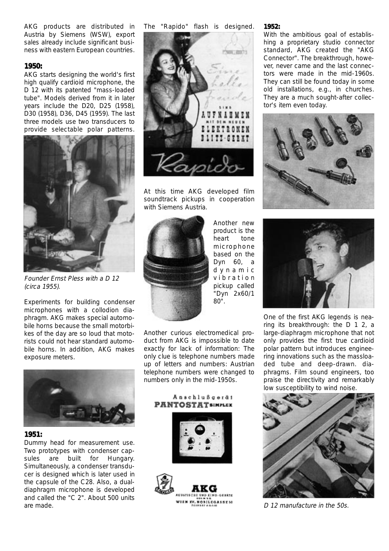AKG products are distributed in Austria by Siemens (WSW), export sales already include significant business with eastern European countries.

#### **1950:**

AKG starts designing the world's first high qualify cardioid microphone, the D 12 with its patented "mass-loaded tube". Models derived from it in later years include the D20, D25 (1958), D30 (1958), D36, D45 (1959). The last three models use two transducers to provide selectable polar patterns.



Founder Ernst Pless with a D 12 (circa 1955).

Experiments for building condenser microphones with a collodion diaphragm. AKG makes special automobile horns because the small motorbikes of the day are so loud that motorists could not hear standard automobile horns. In addition, AKG makes exposure meters.



#### **1951:**

Dummy head for measurement use. Two prototypes with condenser capsules are built for Hungary. Simultaneously, a condenser transducer is designed which is later used in the capsule of the C28. Also, a dualdiaphragm microphone is developed and called the "C 2". About 500 units are made.

The "Rapido" flash is designed.



At this time AKG developed film soundtrack pickups in cooperation with Siemens Austria.



Another new product is the heart tone microphone based on the Dyn 60, a dynamic vibration pickup called "Dyn 2x60/1 80".

Another curious electromedical product from AKG is impossible to date exactly for lack of information: The only clue is telephone numbers made up of letters and numbers: Austrian telephone numbers were changed to numbers only in the mid-1950s.



**NORTLEGASSTM** 

#### **1952:**

With the ambitious goal of establishing a proprietary studio connector standard, AKG created the "AKG Connector". The breakthrough, however, never came and the last connectors were made in the mid-1960s. They can still be found today in some old installations, e.g., in churches. They are a much sought-after collector's item even today.





One of the first AKG legends is nearing its breakthrough: the D 1 2, a large-diaphragm microphone that not only provides the first true cardioid polar pattern but introduces engineering innovations such as the massloaded tube and deep-drawn. diaphragms. Film sound engineers, too praise the directivity and remarkably low susceptibility to wind noise.



D 12 manufacture in the 50s.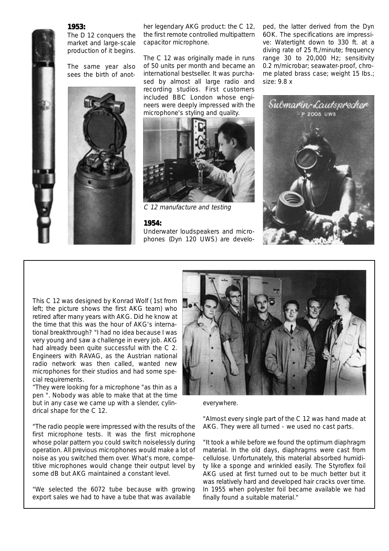The D<sub>12</sub> conquers the market and large-scale production of it begins.

The same year also sees the birth of anot-



her legendary AKG product: the C 12, the first remote controlled multipattern capacitor microphone.

The C 12 was originally made in runs of 50 units per month and became an international bestseller. It was purchased by almost all large radio and recording studios. First customers included BBC London whose engineers were deeply impressed with the microphone's styling and quality.



C 12 manufacture and testing

#### **1954:**

Underwater loudspeakers and microphones (Dyn 120 UWS) are developed, the latter derived from the Dyn 6OK. The specifications are impressive: Watertight down to 330 ft. at a diving rate of 25 ft./minute; frequency range 30 to 20,000 Hz; sensitivity 0.2 m/microbar; seawater-proof, chrome plated brass case; weight 15 Ibs.; size: 9.8 x



This C 12 was designed by Konrad Wolf ( 1st from left; the picture shows the first AKG team) who retired after many years with AKG. Did he know at the time that this was the hour of AKG's international breakthrough? "I had no idea because I was very young and saw a challenge in every job. AKG had already been quite successful with the C 2. Engineers with RAVAG, as the Austrian national radio network was then called, wanted new microphones for their studios and had some special requirements.

"They were looking for a microphone "as thin as a pen ". Nobody was able to make that at the time but in any case we came up with a slender, cylindrical shape for the C 12.

"The radio people were impressed with the results of the first microphone tests. It was the first microphone whose polar pattern you could switch noiselessly during operation. All previous microphones would make a lot of noise as you switched them over. What's more, competitive microphones would change their output level by some dB but AKG maintained a constant level.

"We selected the 6072 tube because with growing export sales we had to have a tube that was available



everywhere.

"Almost every single part of the C 12 was hand made at AKG. They were all turned - we used no cast parts.

"It took a while before we found the optimum diaphragm material. In the old days, diaphragms were cast from cellulose. Unfortunately, this material absorbed humidity like a sponge and wrinkled easily. The Styroflex foil AKG used at first turned out to be much better but it was relatively hard and developed hair cracks over time. In 1955 when polyester foil became available we had finally found a suitable material."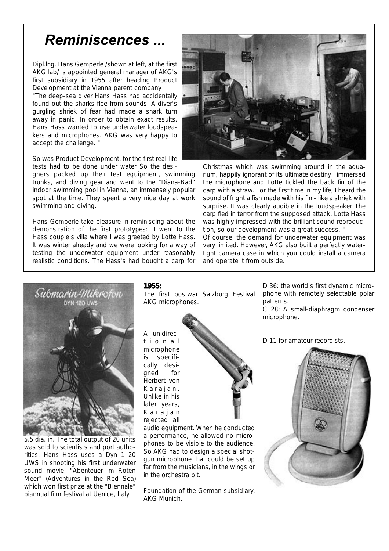## Reminiscences ...

Dipl.lng. Hans Gemperle /shown at left, at the first AKG lab/ is appointed general manager of AKG's first subsidiary in 1955 after heading Product Development at the Vienna parent company

"The deep-sea diver Hans Hass had accidentally found out the sharks flee from sounds. A diver's gurgling shriek of fear had made a shark turn away in panic. In order to obtain exact results, Hans Hass wanted to use underwater loudspeakers and microphones. AKG was very happy to accept the challenge. "

So was Product Development, for the first real-life tests had to be done under water So the desi-

gners packed up their test equipment, swimming trunks, and diving gear and went to the "Diana-Bad" indoor swimming pool in Vienna, an immensely popular spot at the time. They spent a very nice day at work swimming and diving.

Hans Gemperle take pleasure in reminiscing about the demonstration of the first prototypes: "I went to the Hass couple's villa where I was greeted by Lotte Hass. It was winter already and we were looking for a way of testing the underwater equipment under reasonably realistic conditions. The Hass's had bought a carp for



Christmas which was swimming around in the aquarium, happily ignorant of its ultimate destiny I immersed the microphone and Lotte tickled the back fin of the carp with a straw. For the first time in my life, I heard the sound of fright a fish made with his fin - like a shriek with surprise. It was clearly audible in the loudspeaker The carp fled in terror from the supposed attack. Lotte Hass was highly impressed with the brilliant sound reproduction, so our development was a great success. "

Of course, the demand for underwater equipment was very limited. However, AKG also built a perfectly watertight camera case in which you could install a camera and operate it from outside.



5.5 dia. in. The total output of 20 units was sold to scientists and port authorities. Hans Hass uses a Dyn 1 20 UWS in shooting his first underwater sound movie, "Abenteuer im Roten Meer" (Adventures in the Red Sea) which won first prize at the "Biennale" biannual film festival at Uenice, Italy

#### **1955:**

The first postwar Salzburg Festival AKG microphones.

A unidirectional microphone is specifically designed for Herbert von Karajan. Unlike in his later years, Karajan rejected all



audio equipment. When he conducted a performance, he allowed no microphones to be visible to the audience. So AKG had to design a special shotgun microphone that could be set up far from the musicians, in the wings or in the orchestra pit.

Foundation of the German subsidiary, AKG Munich.

D 36: the world's first dynamic microphone with remotely selectable polar patterns.

C 28: A small-diaphragm condenser microphone.

D 11 for amateur recordists.

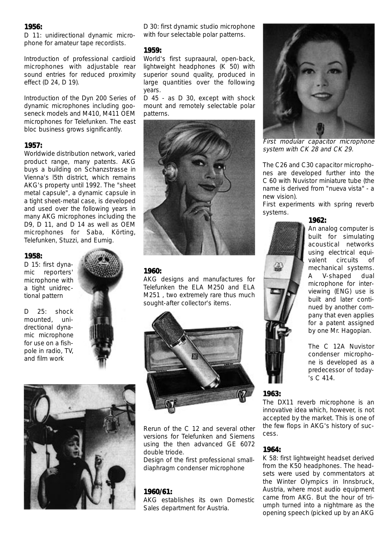D 11: unidirectional dynamic microphone for amateur tape recordists.

Introduction of professional cardioid microphones with adjustable rear sound entries for reduced proximity effect (D 24, D 19).

Introduction of the Dyn 200 Series of dynamic microphones including gooseneck models and M410, M411 OEM microphones for Telefunken. The east bloc business grows significantly.

#### **1957:**

Worldwide distribution network, varied product range, many patents. AKG buys a building on Schanzstrasse in Vienna's l5th district, which remains AKG's property until 1992. The "sheet metal capsule", a dynamic capsule in a tight sheet-metal case, is developed and used over the following years in many AKG microphones including the D9, D 11, and D 14 as well as OEM microphones for Saba, Körting, Telefunken, Stuzzi, and Eumig.

#### **1958:**

D 15: first dynamic reporters' microphone with a tight unidrectional pattern

D 25: shock mounted, unidrectional dynamic microphone for use on a fishpole in radio, TV, and film work





#### **1959:**

World's first supraaural, open-back, lightweight headphones (K 50) with superior sound quality, produced in large quantities over the following years.

D 45 - as D 30, except with shock mount and remotely selectable polar patterns.



#### **1960:**

AKG designs and manufactures for Telefunken the ELA M250 and ELA M251 , two extremely rare thus much sought-after collector's items.



Rerun of the C 12 and several other versions for Telefunken and Siemens using the then advanced GE 6072 double triode.

Design of the first professional smalldiaphragm condenser microphone

#### **1960/61:**

AKG establishes its own Domestic Sales department for Austria.



First modular capacitor microphone system with CK 28 and CK 29.

The C26 and C30 capacitor microphones are developed further into the C 60 with Nuvistor miniature tube (the name is derived from "nueva vista" - a new vision).

First experiments with spring reverb systems.

## **1962:**

An analog computer is built for simulating acoustical networks using electrical equivalent circuits of mechanical systems. A V-shaped dual microphone for interviewing (ENG) use is built and later continued by another company that even applies for a patent assigned by one Mr. Hagopian.

The C 12A Nuvistor condenser microphone is developed as a predecessor of today- 's C 414.

#### **1963:**

The DX11 reverb microphone is an innovative idea which, however, is not accepted by the market. This is one of the few flops in AKG's history of success.

#### **1964:**

K 58: first lightweight headset derived from the K50 headphones. The headsets were used by commentators at the Winter Olympics in Innsbruck, Austria, where most audio equipment came from AKG. But the hour of triumph turned into a nightmare as the opening speech (picked up by an AKG

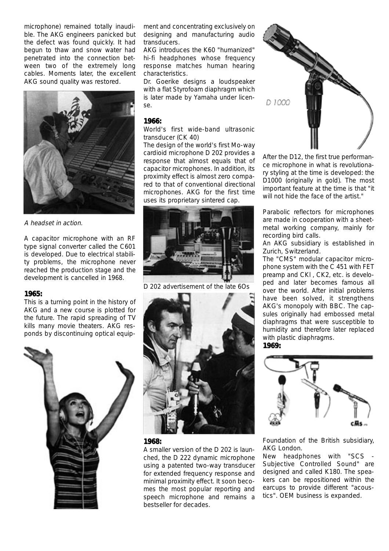microphone) remained totally inaudible. The AKG engineers panicked but the defect was found quickly. It had begun to thaw and snow water had penetrated into the connection between two of the extremely long cables. Moments later, the excellent AKG sound quality was restored.



#### A headset in action.

A capacitor microphone with an RF type signal converter called the C601 is developed. Due to electrical stability problems, the microphone never reached the production stage and the development is cancelled in 1968.

#### **1965:**

This is a turning point in the history of AKG and a new course is plotted for the future. The rapid spreading of TV kills many movie theaters. AKG responds by discontinuing optical equip-



ment and concentrating exclusively on designing and manufacturing audio transducers.

AKG introduces the K60 "humanized" hi-fi headphones whose frequency response matches human hearing characteristics.

Dr. Goerike designs a loudspeaker with a flat Styrofoam diaphragm which is later made by Yamaha under license.

#### **1966:**

World's first wide-band ultrasonic transducer (CK 40)

The design of the world's first Mo-way cardioid microphone D 202 provides a response that almost equals that of capacitor microphones. In addition, its proximity effect is almost zero compared to that of conventional directional microphones. AKG for the first time uses its proprietary sintered cap.



D 202 advertisement of the late 6Os



#### **1968:**

A smaller version of the D 202 is launched, the D 222 dynamic microphone using a patented two-way transducer for extended frequency response and minimal proximity effect. It soon becomes the most popular reporting and speech microphone and remains a bestseller for decades.



After the D12, the first true performance microphone in what is revolutionary styling at the time is developed: the D1000 (originally in gold). The most important feature at the time is that "it will not hide the face of the artist."

Parabolic reflectors for microphones are made in cooperation with a sheetmetal working company, mainly for recording bird calls.

An AKG subsidiary is established in Zurich, Switzerland.

The "CMS" modular capacitor microphone system with the C 451 with FET preamp and CKl , CK2, etc. is developed and later becomes famous all over the world. After initial problems have been solved, it strengthens AKG's monopoly with BBC. The capsules originally had embossed metal diaphragms that were susceptible to humidity and therefore later replaced with plastic diaphragms. **1969:**



Foundation of the British subsidiary, AKG London.

New headphones with "SCS Subjective Controlled Sound" are designed and called K180. The speakers can be repositioned within the earcups to provide different "acoustics". OEM business is expanded.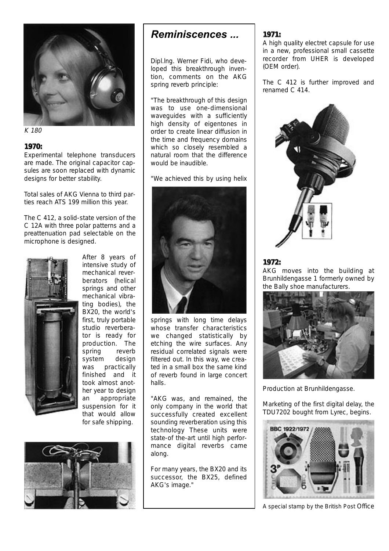

K 180

Experimental telephone transducers are made. The original capacitor capsules are soon replaced with dynamic designs for better stability.

Total sales of AKG Vienna to third parties reach ATS 199 million this year.

The C 412, a solid-state version of the C 12A with three polar patterns and a preattenuation pad selectable on the microphone is designed.



After 8 years of intensive study of mechanical reverberators (helical springs and other mechanical vibrating bodies), the BX20, the world's first, truly portable studio reverberator is ready for production. The spring reverb system design was practically finished and it took almost another year to design an appropriate suspension for it that would allow for safe shipping.



### Reminiscences ...

Dipl.lng. Werner Fidi, who developed this breakthrough invention, comments on the AKG spring reverb principle:

"The breakthrough of this design was to use one-dimensional waveguides with a sufficiently high density of eigentones in order to create linear diffusion in the time and frequency domains which so closely resembled a natural room that the difference would be inaudible.

"We achieved this by using helix



springs with long time delays whose transfer characteristics we changed statistically by etching the wire surfaces. Any residual correlated signals were filtered out. In this way, we created in a small box the same kind of reverb found in large concert halls.

"AKG was, and remained, the only company in the world that successfully created excellent sounding reverberation using this technology These units were state-of the-art until high performance digital reverbs came along.

For many years, the BX20 and its successor, the BX25, defined AKG's image."

#### **1971:**

A high quality electret capsule for use in a new, professional small cassette recorder from UHER is developed (OEM order).

The C 412 is further improved and renamed C 414.



#### **1972:**

AKG moves into the building at Brunhildengasse 1 formerly owned by the Bally shoe manufacturers.



Production at Brunhildengasse.

Marketing of the first digital delay, the TDU7202 bought from Lyrec, begins.



A special stamp by the British Post Office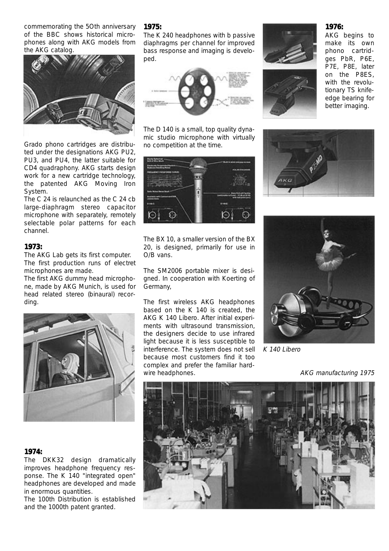commemorating the 5Oth anniversary of the BBC shows historical microphones along with AKG models from the AKG catalog.



Grado phono cartridges are distributed under the designations AKG PU2, PU3, and PU4, the latter suitable for CD4 quadraphony. AKG starts design work for a new cartridge technology, the patented AKG Moving Iron System.

The C 24 is relaunched as the C 24 cb large-diaphragm stereo capacitor microphone with separately, remotely selectable polar patterns for each channel.

#### **1973:**

The AKG Lab gets its first computer. The first production runs of electret microphones are made.

The first AKG dummy head microphone, made by AKG Munich, is used for head related stereo (binaural) recording.



#### **1974:**

The DKK32 design dramatically improves headphone frequency response. The K 140 "integrated open" headphones are developed and made in enormous quantities.

The 100th Distribution is established and the 1000th patent granted.

#### **1975:**

The K 240 headphones with b passive diaphragms per channel for improved bass response and imaging is developed.



The D 140 is a small, top quality dynamic studio microphone with virtually no competition at the time.



The BX 10, a smaller version of the BX 20, is designed, primarily for use in O/B vans.

The SM2006 portable mixer is designed. In cooperation with Koerting of Germany,

The first wireless AKG headphones based on the K 140 is created, the AKG K 140 Libero. After initial experiments with ultrasound transmission, the designers decide to use infrared light because it is less susceptible to interference. The system does not sell because most customers find it too complex and prefer the familiar hardwire headphones.





AKG begins to make its own phono cartridges PbR, P6E, P7E, P8E, later on the P8ES, with the revolutionary TS knife-

edge bearing for better imaging.





K 140 Libero

#### AKG manufacturing 1975



#### **1976:**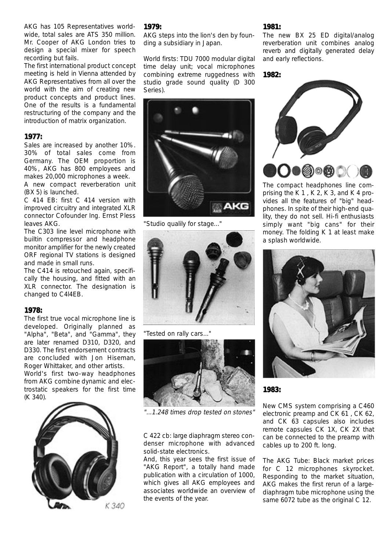AKG has 105 Representatives worldwide, total sales are ATS 350 million. Mr. Cooper of AKG London tries to design a special mixer for speech recording but fails.

The first international product concept meeting is held in Vienna attended by AKG Representatives from all over the world with the aim of creating new product concepts and product lines. One of the results is a fundamental restructuring of the company and the introduction of matrix organization.

#### **1977:**

Sales are increased by another 10%. 30% of total sales come from Germany. The OEM proportion is 40%, AKG has 800 employees and makes 20,000 microphones a week.

A new compact reverberation unit (BX 5) is launched.

C 414 EB: first C 414 version with improved circuitry and integrated XLR connector Cofounder Ing. Ernst Pless leaves AKG.

The C303 line level microphone with builtin compressor and headphone monitor amplifier for the newly created ORF regional TV stations is designed and made in small runs.

The C414 is retouched again, specifically the housing, and fitted with an XLR connector. The designation is changed to C4l4EB.

#### **1978:**

The first true vocal microphone line is developed. Originally planned as "Alpha", "Beta", and "Gamma", they are later renamed D310, D320, and D330. The first endorsement contracts are concluded with Jon Hiseman, Roger Whittaker, and other artists.

World's first two-way headphones from AKG combine dynamic and electrostatic speakers for the first time (K 340).



#### **1979:**

AKG steps into the lion's den by founding a subsidiary in Japan.

World firsts: TDU 7000 modular digital time delay unit; vocal microphones combining extreme ruggedness with studio grade sound quality (D 300 Series).



"Studio qualily for stage..."



"Tested on rally cars..."



"...1.248 times drop tested on stones"

C 422 cb: large diaphragm stereo condenser microphone with advanced solid-state electronics.

And, this year sees the first issue of "AKG Report", a totally hand made publication with a circulation of 1000, which gives all AKG employees and associates worldwide an overview of the events of the year.

#### **1981:**

The new BX 25 ED digital/analog reverberation unit combines analog reverb and digitally generated delay and early reflections.





The compact headphones line comprising the K 1 , K 2, K 3, and K 4 provides all the features of "big" headphones. In spite of their high-end quality, they do not sell. Hi-fi enthusiasts simply want "big cans" for their money. The folding K 1 at least make a splash worldwide.



**1983:**

New CMS system comprising a C460 electronic preamp and CK 61 , CK 62, and CK 63 capsules also includes remote capsules CK 1X, CK 2X that can be connected to the preamp with cables up to 200 ft. long.

The AKG Tube: Black market prices for C 12 microphones skyrocket. Responding to the market situation, AKG makes the first rerun of a largediaphragm tube microphone using the same 6072 tube as the original C 12.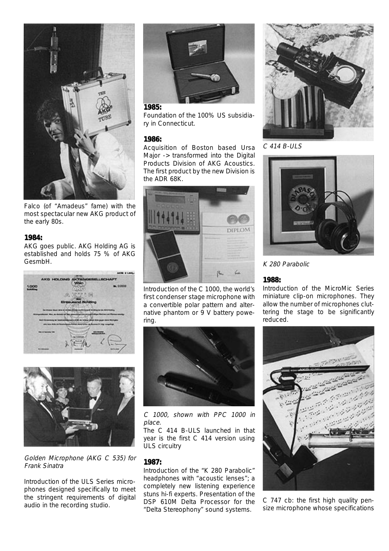

Falco (of "Amadeus" fame) with the most spectacular new AKG product of the early 80s.

AKG goes public. AKG Holding AG is established and holds 75 % of AKG GesmbH.





Golden Microphone (AKG C 535) for Frank Sinatra

Introduction of the ULS Series microphones designed specifically to meet the stringent requirements of digital audio in the recording studio.



#### **1985:**

Foundation of the 100% US subsidiary in Connecticut.

#### **1986:**

Acquisition of Boston based Ursa Major -> transformed into the Digital Products Division of AKG Acoustics. The first product by the new Division is the ADR 68K.



Introduction of the C 1000, the world's first condenser stage microphone with a convertible polar pattern and alternative phantom or 9 V battery powering.



C 1000, shown with PPC 1000 in place.

The C 414 B-ULS launched in that year is the first C 414 version using ULS circuitry

#### **1987:**

Introduction of the "K 280 Parabolic" headphones with "acoustic lenses"; a completely new listening experience stuns hi-fi experts. Presentation of the DSP 610M Delta Processor for the "Delta Stereophony" sound systems.



C 414 B-ULS



K 280 Parabolic

#### **1988:**

Introduction of the MicroMic Series miniature clip-on microphones. They allow the number of microphones cluttering the stage to be significantly reduced.



C 747 cb: the first high quality pensize microphone whose specifications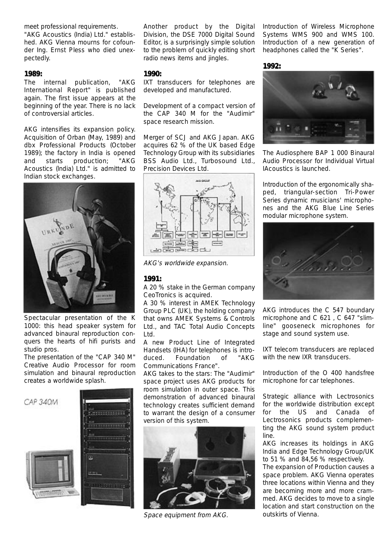meet professional requirements.

"AKG Acoustics (India) Ltd." established. AKG Vienna mourns for cofounder Ing. Ernst Pless who died unexpectedly.

#### **1989:**

The internal publication, "AKG International Report" is published again. The first issue appears at the beginning of the year. There is no lack of controversial articles.

AKG intensifies its expansion policy. Acquisition of Orban (May, 1989) and dbx Professional Products (October 1989); the factory in India is opened and starts production; "AKG Acoustics (lndia) Ltd." is admitted to Indian stock exchanges.



Spectacular presentation of the K 1000: this head speaker system for advanced binaural reproduction conquers the hearts of hifi purists and studio pros.

The presentation of the "CAP 340 M" Creative Audio Processor for room simulation and binaural reproduction creates a worldwide splash.



Another product by the Digital Division, the DSE 7000 Digital Sound Editor, is a surprisingly simple solution to the problem of quickly editing short radio news items and jingles.

#### **1990:**

IXT transducers for telephones are developed and manufactured.

Development of a compact version of the CAP 340 M for the "Audimir" space research mission.

Merger of SCJ and AKG Japan. AKG acquires 62 % of the UK based Edge Technology Group with its subsidiaries BSS Audio Ltd., Turbosound Ltd., Precision Devices Ltd.



AKG's worldwide expansion.

#### **1991:**

A 20 % stake in the German company CeoTronics is acquired.

A 30 % interest in AMEK Technology Group PLC (UK), the holding company that owns AMEK Systems & Controls Ltd., and TAC Total Audio Concepts Ltd.

A new Product Line of Integrated Handsets (IHA) for telephones is introduced. Foundation of "AKG Communications France".

AKG takes to the stars: The "Audimir" space project uses AKG products for room simulation in outer space. This demonstration of advanced binaural technology creates sufficient demand to warrant the design of a consumer version of this system.



Space equipment from AKG.

Introduction of Wireless Microphone Systems WMS 900 and WMS 100. Introduction of a new generation of headphones called the "K Series".

#### **1992:**



The Audiosphere BAP 1 000 Binaural Audio Processor for Individual Virtual IAcoustics is launched.

Introduction of the ergonomically shaped, triangular-section Tri-Power Series dynamic musicians' microphones and the AKG Blue Line Series modular microphone system.



AKG introduces the C 547 boundary microphone and C 621 , C 647 "slimline" gooseneck microphones for stage and sound system use.

IXT telecom transducers are replaced with the new IXR transducers.

Introduction of the O 400 handsfree microphone for car telephones.

Strategic alliance with Lectrosonics for the worldwide distribution except for the US and Canada of Lectrosonics products complementing the AKG sound system product line.

AKG increases its holdings in AKG India and Edge Technology Group/UK to 51 % and 84,56 % respectively.

The expansion of Production causes a space problem. AKG Vienna operates three locations within Vienna and they are becoming more and more crammed. AKG decides to move to a single location and start construction on the outskirts of Vienna.